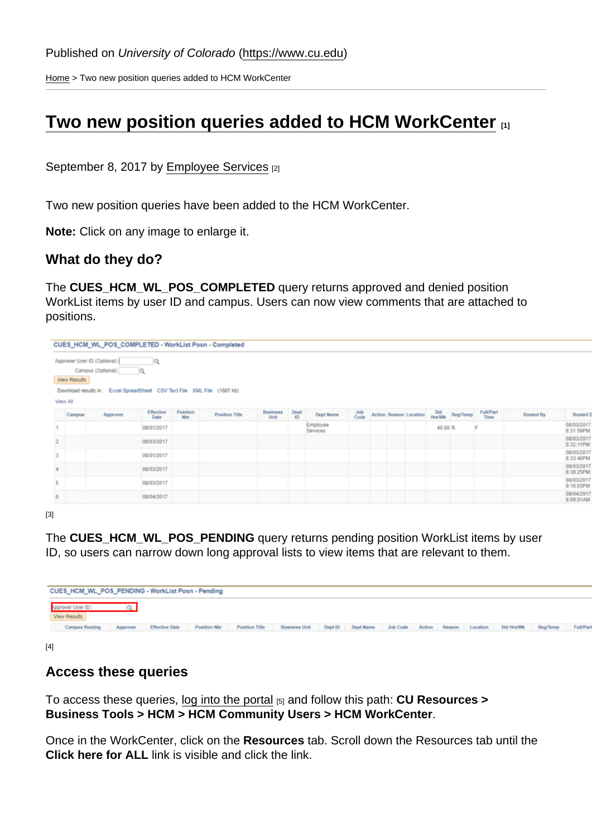[Home](https://www.cu.edu/) > Two new position queries added to HCM WorkCenter

## [Two new position queries added to HCM WorkCenter](https://www.cu.edu/blog/hcm-community/two-new-position-queries-added-hcm-workcenter)  $\Box$

September 8, 2017 by [Employee Services](https://www.cu.edu/blog/hcm-community/author/10695) [2]

Two new position queries have been added to the HCM WorkCenter.

Note: Click on any image to enlarge it.

What do they do?

The CUES\_HCM\_WL\_POS\_COMPLETED query returns approved and denied position WorkList items by user ID and campus. Users can now view comments that are attached to positions.

[3]

The CUES\_HCM\_WL\_POS\_PENDING query returns pending position WorkList items by user ID, so users can narrow down long approval lists to view items that are relevant to them.

[4]

## Access these queries

To access these queries, [log into the portal](http://my.cu.edu/)  $[5]$  and follow this path: CU Resources > Business Tools > HCM > HCM Community Users > HCM WorkCenter .

Once in the WorkCenter, click on the Resources tab. Scroll down the Resources tab until the Click here for ALL link is visible and click the link.